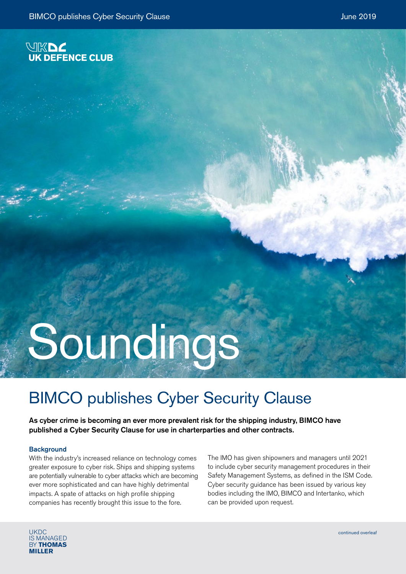

## Soundings

## BIMCO publishes Cyber Security Clause

As cyber crime is becoming an ever more prevalent risk for the shipping industry, BIMCO have published a Cyber Security Clause for use in charterparties and other contracts.

## **Background**

With the industry's increased reliance on technology comes greater exposure to cyber risk. Ships and shipping systems are potentially vulnerable to cyber attacks which are becoming ever more sophisticated and can have highly detrimental impacts. A spate of attacks on high profile shipping companies has recently brought this issue to the fore.

The IMO has given shipowners and managers until 2021 to include cyber security management procedures in their Safety Management Systems, as defined in the ISM Code. Cyber security guidance has been issued by various key bodies including the IMO, BIMCO and Intertanko, which can be provided upon request.